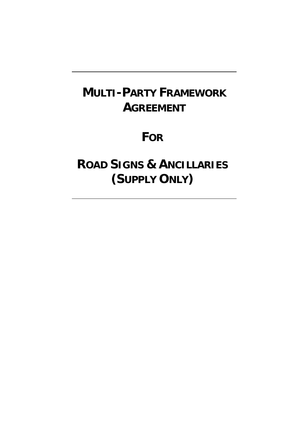# **MULTI-PARTY FRAMEWORK AGREEMENT**

## **FOR**

# **ROAD SIGNS & ANCILLARIES (SUPPLY ONLY)**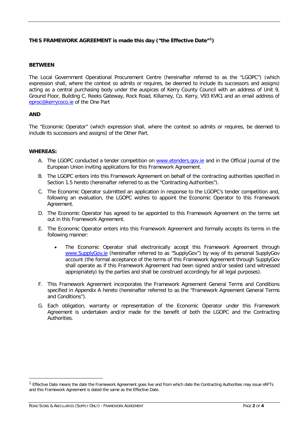## **THIS FRAMEWORK AGREEMENT is made this day ("the Effective Date"[1\)](#page-1-0)**

## **BETWEEN**

The Local Government Operational Procurement Centre (hereinafter referred to as the "LGOPC") (which expression shall, where the context so admits or requires, be deemed to include its successors and assigns) acting as a central purchasing body under the auspices of Kerry County Council with an address of Unit 9, Ground Floor, Building C, Reeks Gateway, Rock Road, Killarney, Co. Kerry, V93 KVK1 and an email address of [eproc@kerrycoco.ie](mailto:eproc@kerrycoco.ie) of the One Part

## **AND**

The "Economic Operator" (which expression shall, where the context so admits or requires, be deemed to include its successors and assigns) of the Other Part.

## **WHEREAS:**

- A. The LGOPC conducted a tender competition on [www.etenders.gov.ie](http://www.etenders.gov.ie/) and in the Official Journal of the European Union inviting applications for this Framework Agreement.
- B. The LGOPC enters into this Framework Agreement on behalf of the contracting authorities specified in Section 1.5 hereto (hereinafter referred to as the "Contracting Authorities").
- C. The Economic Operator submitted an application in response to the LGOPC's tender competition and, following an evaluation, the LGOPC wishes to appoint the Economic Operator to this Framework Agreement.
- D. The Economic Operator has agreed to be appointed to this Framework Agreement on the terms set out in this Framework Agreement.
- E. The Economic Operator enters into this Framework Agreement and formally accepts its terms in the following manner:
	- The Economic Operator shall electronically accept this Framework Agreement through [www.SupplyGov.ie](http://www.supplygov.ie/) (hereinafter referred to as "SupplyGov") by way of its personal SupplyGov account (the formal acceptance of the terms of this Framework Agreement through SupplyGov shall operate as if this Framework Agreement had been signed and/or sealed (and witnessed appropriately) by the parties and shall be construed accordingly for all legal purposes).
- F. This Framework Agreement incorporates the Framework Agreement General Terms and Conditions specified in Appendix A hereto (hereinafter referred to as the "Framework Agreement General Terms and Conditions").
- G. Each obligation, warranty or representation of the Economic Operator under this Framework Agreement is undertaken and/or made for the benefit of both the LGOPC and the Contracting **Authorities**

ROAD SIGNS & ANCILLARIES (SUPPLY ONLY) - FRAMEWORK AGREEMENT **PAGE 2 OF 4** PAGE 2 OF 4

<span id="page-1-0"></span><sup>&</sup>lt;sup>1</sup> Effective Date means the date the Framework Agreement goes live and from which date the Contracting Authorities may issue sRFTs and this Framework Agreement is dated the same as the Effective Date.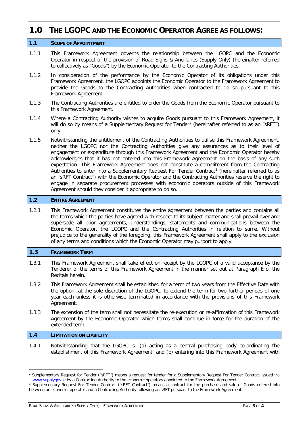## **1.0 THE LGOPC AND THE ECONOMIC OPERATOR AGREE AS FOLLOWS:**

## **1.1 SCOPE OF APPOINTMENT**

- 1.1.1 This Framework Agreement governs the relationship between the LGOPC and the Economic Operator in respect of the provision of Road Signs & Ancillaries (Supply Only) (hereinafter referred to collectively as "Goods") by the Economic Operator to the Contracting Authorities.
- 1.1.2 In consideration of the performance by the Economic Operator of its obligations under this Framework Agreement, the LGOPC appoints the Economic Operator to the Framework Agreement to provide the Goods to the Contracting Authorities when contracted to do so pursuant to this Framework Agreement.
- 1.1.3 The Contracting Authorities are entitled to order the Goods from the Economic Operator pursuant to this Framework Agreement.
- 1.1.4 Where a Contracting Authority wishes to acquire Goods pursuant to this Framework Agreement, it will do so by means of a Supplementary Request for Tender<sup>[2](#page-2-0)</sup> (hereinafter referred to as an "sRFT") only.
- 1.1.5 Notwithstanding the entitlement of the Contracting Authorities to utilise this Framework Agreement, neither the LGOPC nor the Contracting Authorities give any assurances as to their level of engagement or expenditure through this Framework Agreement and the Economic Operator hereby acknowledges that it has not entered into this Framework Agreement on the basis of any such expectation. This Framework Agreement does not constitute a commitment from the Contracting Authorities to enter into a Supplementary Request For Tender Contract<sup>[3](#page-2-1)</sup> (hereinafter referred to as an "sRFT Contract") with the Economic Operator and the Contracting Authorities reserve the right to engage in separate procurement processes with economic operators outside of this Framework Agreement should they consider it appropriate to do so.

## **1.2 ENTIRE AGREEMENT**

1.2.1 This Framework Agreement constitutes the entire agreement between the parties and contains all the terms which the parties have agreed with respect to its subject matter and shall prevail over and supersede all prior agreements, understandings, statements and communications between the Economic Operator, the LGOPC and the Contracting Authorities in relation to same. Without prejudice to the generality of the foregoing, this Framework Agreement shall apply to the exclusion of any terms and conditions which the Economic Operator may purport to apply.

### **1.3 FRAMEWORK TERM**

- 1.3.1 This Framework Agreement shall take effect on receipt by the LGOPC of a valid acceptance by the Tenderer of the terms of this Framework Agreement in the manner set out at Paragraph E of the Recitals herein.
- 1.3.2 This Framework Agreement shall be established for a term of two years from the Effective Date with the option, at the sole discretion of the LGOPC, to extend the term for two further periods of one year each unless it is otherwise terminated in accordance with the provisions of this Framework Agreement.
- 1.3.3 The extension of the term shall not necessitate the re-execution or re-affirmation of this Framework Agreement by the Economic Operator which terms shall continue in force for the duration of the extended term.

### **1.4 LIMITATION ON LIABILITY**

1.4.1 Notwithstanding that the LGOPC is: (a) acting as a central purchasing body co-ordinating the establishment of this Framework Agreement; and (b) entering into this Framework Agreement with

<span id="page-2-0"></span><sup>&</sup>lt;sup>2</sup> Supplementary Request for Tender ("SRFT") means a request for tender for a Supplementary Request For Tender Contract issued via [www.supplygov.ie](http://www.supplygov.ie/) by a Contracting Authority to the economic operators appointed to the Framework Agreement.

<span id="page-2-1"></span><sup>&</sup>lt;sup>3</sup> Supplementary Request For Tender Contract ("sRFT Contract") means a contract for the purchase and sale of Goods entered into between an economic operator and a Contracting Authority following an sRFT pursuant to the Framework Agreement.